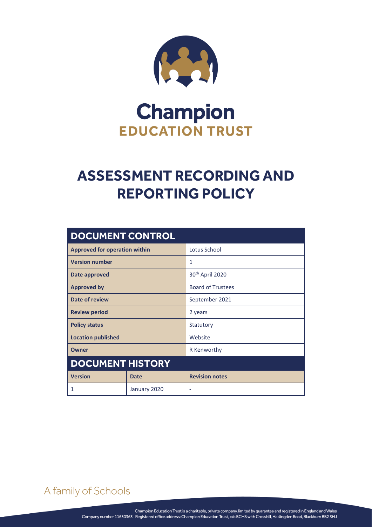

# **Champion EDUCATION TRUST**

# **ASSESSMENT RECORDING AND REPORTING POLICY**

| <b>DOCUMENT CONTROL</b>              |              |                             |
|--------------------------------------|--------------|-----------------------------|
| <b>Approved for operation within</b> |              | Lotus School                |
| <b>Version number</b>                |              | 1                           |
| Date approved                        |              | 30 <sup>th</sup> April 2020 |
| <b>Approved by</b>                   |              | <b>Board of Trustees</b>    |
| Date of review                       |              | September 2021              |
| <b>Review period</b>                 |              | 2 years                     |
| <b>Policy status</b>                 |              | Statutory                   |
| <b>Location published</b>            |              | Website                     |
| <b>Owner</b>                         |              | R Kenworthy                 |
| <b>DOCUMENT HISTORY</b>              |              |                             |
| <b>Version</b>                       | <b>Date</b>  | <b>Revision notes</b>       |
| 1                                    | January 2020 | ۰                           |

A family of Schools

ASSESSMENT RECORDING AND REPORTING POLICY Page **0** of **4**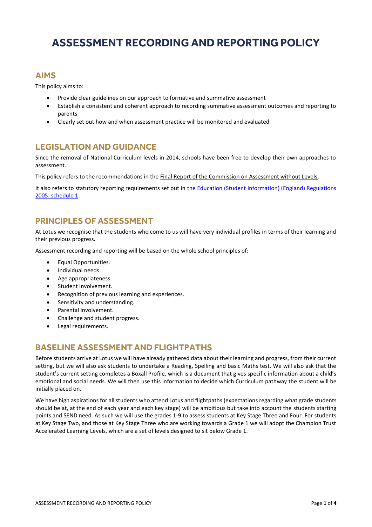# **ASSESSMENT RECORDING AND REPORTING POLICY**

#### **AIMS**

This policy aims to:

- Provide clear guidelines on our approach to formative and summative assessment
- Establish a consistent and coherent approach to recording summative assessment outcomes and reporting to parents
- Clearly set out how and when assessment practice will be monitored and evaluated

#### **LEGISLATION AND GUIDANCE**

Since the removal of National Curriculum levels in 2014, schools have been free to develop their own approaches to assessment.

This policy refers to the recommendations in the [Final Report of the Commission on Assessment without Levels.](https://www.gov.uk/government/uploads/system/uploads/attachment_data/file/483058/Commission_on_Assessment_Without_Levels_-_report.pdf)

It also refers to statutory reporting requirements set out in the Education (Student Information) (England) Regulations [2005: schedule 1.](http://www.legislation.gov.uk/uksi/2005/1437/schedule/1/made)

#### **PRINCIPLES OF ASSESSMENT**

At Lotus we recognise that the students who come to us will have very individual profiles in terms of their learning and their previous progress.

Assessment recording and reporting will be based on the whole school principles of:

- Equal Opportunities.
- Individual needs.
- Age appropriateness.
- Student involvement.
- Recognition of previous learning and experiences.
- Sensitivity and understanding.
- Parental involvement.
- Challenge and student progress.
- Legal requirements.

### **BASELINE ASSESSMENT AND FLIGHTPATHS**

Before students arrive at Lotus we will have already gathered data about their learning and progress, from their current setting, but we will also ask students to undertake a Reading, Spelling and basic Maths test. We will also ask that the student's current setting completes a Boxall Profile, which is a document that gives specific information about a child's emotional and social needs. We will then use this information to decide which Curriculum pathway the student will be initially placed on.

We have high aspirations for all students who attend Lotus and flightpaths (expectations regarding what grade students should be at, at the end of each year and each key stage) will be ambitious but take into account the students starting points and SEND need. As such we will use the grades 1-9 to assess students at Key Stage Three and Four. For students at Key Stage Two, and those at Key Stage Three who are working towards a Grade 1 we will adopt the Champion Trust Accelerated Learning Levels, which are a set of levels designed to sit below Grade 1.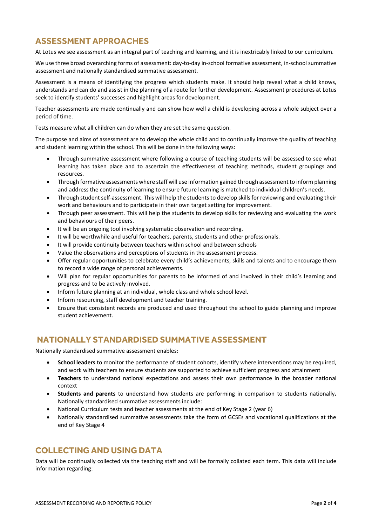## **ASSESSMENT APPROACHES**

At Lotus we see assessment as an integral part of teaching and learning, and it is inextricably linked to our curriculum.

We use three broad overarching forms of assessment: day-to-day in-school formative assessment, in-school summative assessment and nationally standardised summative assessment.

Assessment is a means of identifying the progress which students make. It should help reveal what a child knows, understands and can do and assist in the planning of a route for further development. Assessment procedures at Lotus seek to identify students' successes and highlight areas for development.

Teacher assessments are made continually and can show how well a child is developing across a whole subject over a period of time.

Tests measure what all children can do when they are set the same question.

The purpose and aims of assessment are to develop the whole child and to continually improve the quality of teaching and student learning within the school. This will be done in the following ways:

- Through summative assessment where following a course of teaching students will be assessed to see what learning has taken place and to ascertain the effectiveness of teaching methods, student groupings and resources.
- Through formative assessments where staff will use information gained through assessment to inform planning and address the continuity of learning to ensure future learning is matched to individual children's needs.
- Through student self-assessment. This will help the students to develop skills for reviewing and evaluating their work and behaviours and to participate in their own target setting for improvement.
- Through peer assessment. This will help the students to develop skills for reviewing and evaluating the work and behaviours of their peers.
- It will be an ongoing tool involving systematic observation and recording.
- It will be worthwhile and useful for teachers, parents, students and other professionals.
- It will provide continuity between teachers within school and between schools
- Value the observations and perceptions of students in the assessment process.
- Offer regular opportunities to celebrate every child's achievements, skills and talents and to encourage them to record a wide range of personal achievements.
- Will plan for regular opportunities for parents to be informed of and involved in their child's learning and progress and to be actively involved.
- Inform future planning at an individual, whole class and whole school level.
- Inform resourcing, staff development and teacher training.
- Ensure that consistent records are produced and used throughout the school to guide planning and improve student achievement.

#### **NATIONALLY STANDARDISED SUMMATIVE ASSESSMENT**

Nationally standardised summative assessment enables:

- **School leaders** to monitor the performance of student cohorts, identify where interventions may be required, and work with teachers to ensure students are supported to achieve sufficient progress and attainment
- **Teachers** to understand national expectations and assess their own performance in the broader national context
- **Students and parents** to understand how students are performing in comparison to students nationally**.** Nationally standardised summative assessments include:
- National Curriculum tests and teacher assessments at the end of Key Stage 2 (year 6)
- Nationally standardised summative assessments take the form of GCSEs and vocational qualifications at the end of Key Stage 4

#### **COLLECTING AND USING DATA**

Data will be continually collected via the teaching staff and will be formally collated each term. This data will include information regarding: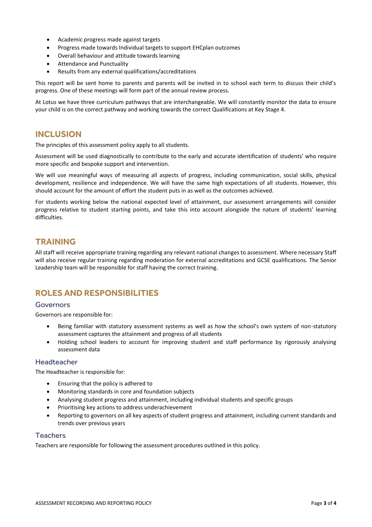- Academic progress made against targets
- Progress made towards Individual targets to support EHCplan outcomes
- Overall behaviour and attitude towards learning
- Attendance and Punctuality
- Results from any external qualifications/accreditations

This report will be sent home to parents and parents will be invited in to school each term to discuss their child's progress. One of these meetings will form part of the annual review process.

At Lotus we have three curriculum pathways that are interchangeable. We will constantly monitor the data to ensure your child is on the correct pathway and working towards the correct Qualifications at Key Stage 4.

#### **INCLUSION**

The principles of this assessment policy apply to all students.

Assessment will be used diagnostically to contribute to the early and accurate identification of students' who require more specific and bespoke support and intervention.

We will use meaningful ways of measuring all aspects of progress, including communication, social skills, physical development, resilience and independence. We will have the same high expectations of all students. However, this should account for the amount of effort the student puts in as well as the outcomes achieved.

For students working below the national expected level of attainment, our assessment arrangements will consider progress relative to student starting points, and take this into account alongside the nature of students' learning difficulties.

#### **TRAINING**

All staff will receive appropriate training regarding any relevant national changes to assessment. Where necessary Staff will also receive regular training regarding moderation for external accreditations and GCSE qualifications. The Senior Leadership team will be responsible for staff having the correct training.

### **ROLES AND RESPONSIBILITIES**

#### Governors

Governors are responsible for:

- Being familiar with statutory assessment systems as well as how the school's own system of non-statutory assessment captures the attainment and progress of all students
- Holding school leaders to account for improving student and staff performance by rigorously analysing assessment data

#### Headteacher

The Headteacher is responsible for:

- Ensuring that the policy is adhered to
- Monitoring standards in core and foundation subjects
- Analysing student progress and attainment, including individual students and specific groups
- Prioritising key actions to address underachievement
- Reporting to governors on all key aspects of student progress and attainment, including current standards and trends over previous years

#### **Teachers**

Teachers are responsible for following the assessment procedures outlined in this policy.